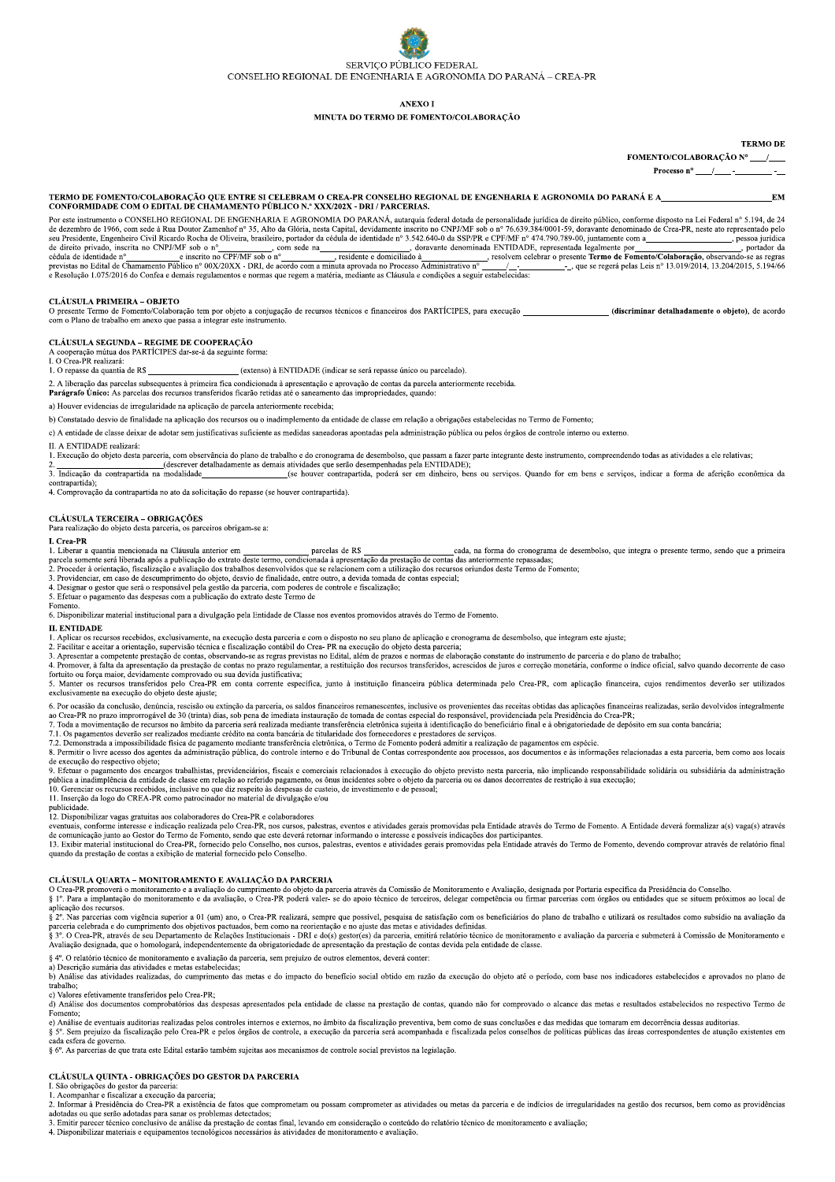# SERVICO PÚBLICO FEDERAL CONSELHO REGIONAL DE ENGENHARIA E AGRONOMIA DO PARANÁ – CREA-PR

**ANEXO I** 

#### MINUTA DO TERMO DE FOMENTO/COLABORAÇÃO

**TERMO DE** 

### FOMENTO/COLABORAÇÃO Nº

Processo n°

TERMO DE FOMENTO/COLABORAÇÃO QUE ENTRE SI CELEBRAM O CREA-PR CONSELHO REGIONAL DE ENGENHARIA E AGRONOMIA DO PARANÁ E A<br>CONFORMIDADE COM O EDITAL DE CHAMAMENTO PÚBLICO N.º XXX/202X - DRI / PARCERIAS.

ECHAMATE DE CHAMATENTO FOBLICO N. AAZIZZA - DRI / FARCERIAS.<br>
Por este intervention of CONSELIARED ENGINEERATE (N. AAZIZZA - DRI / FARCERIAS.<br>
de dezembro de 1966, conforme disposto na Lei Federal nº 5.194, de 24<br>
de dezem

#### CLÁUSULA PRIMEIRA - OBJETO

Converter Termo de Fomento/Colaboração tem por objeto a conjugação de recursos técnicos e financeiros dos PARTÍCIPES, para execução \_<br>com o Plano de trabalho em anexo que passa a integrar este instrumento. (discriminar detalhadamente o objeto), de acordo

**CLÁUSULA SEGUNDA – REGIME DE COOPERAÇÃO**<br>A cooperação mútua dos PARTÍCIPES dar-se-á da seguinte forma:<br>I. O Crea-PR realizará:

1. O repasse da quantia de R\$ (extenso) à ENTIDADE (indicar se será repasse único ou parcelado).

2. A liberação das parcelas subsequentes à primeira fica condicionada à apresentação e aprovação de contas da parcela anteriormente recebida.

Parágrafo Único: As parcelas dos recursos transferidos ficarão retidas até o saneamento das impropriedades, quando:

a) Houver evidencias de irregularidade na aplicação de parcela anteriormente recebida;

b) Constatado desvio de finalidade na aplicação dos recursos ou o inadimplemento da entidade de classe em relação a obrigações estabelecidas no Termo de Fomento:

c) A entidade de classe deixar de adotar sem justificativas suficiente as medidas saneadoras apontadas pela administração pública ou pelos órgãos de controle interno ou externo.

II. A ENTIDADE realizará:

1. Execução do objeto desta parceria, com observância do plano de trabalho e do cronograma de desembolso, que passam a fazer parte integrante deste instrumento, compreendendo todas as atividades a ele relativas;<br>
2. (descr contrapartida);<br>
4. Comprovação da contrapartida no ato da solicitação do repasse (se houver contrapartida).

 $\textbf{CLÁUSULA}$   $\textbf{TERCEIRA}-\textbf{OBRIGACÕES}$ Para realização do objeto desta parceria, os parceiros obrigam-se a:

I. Crea-PR

1. Crea-PM<br>
2. Crea-PM a quantia mencionada na Cláusula anterior em <u>parcelas de R\$</u> cada, na forma do cronograma de desembolso, que integra o presente termo, sendo que a primeira<br>
2. Proceder à orientação, fiscalização do

5. Efetuar o pagamento das despesas com a publicação do extrato deste Termo de Fomento

6. Disponibilizar material institucional para a divulgação pela Entidade de Classe nos eventos promovidos através do Termo de Fomento.

#### **II. ENTIDADE**

1. A plicar os recursos recebidos, exclusivamente, na execução desta parceria e com o disposto no seu plano de aplicação e cronograma de desembolso, que integram este ajuste;<br>2. Facilitar e aceitar a orientação, supervisão

2.1 Apresentar a competente prestação de contas, observando e usoanidade a recuperado do vojeto usoa parteria,<br>3.1 Apresentar a competente prestação de contas no beneficial e se regras previstas no Edital, além de prazos e

S. Manter os recursos transferidos pelo Crea-PR em conta corrente específica, junto à instituição financeira pública determinada pelo Crea-PR, com aplicação financeira, cujos rendimentos deverão ser utilizados exclusivamen

6. Por ocasião da conclusão, denúncia, rescisão ou extinção da parceria, os saldos financeiros remanescentes, inclusive os provenientes das receitas obtidas das aplicações financeiras realizadas, serão devolvidos integralm no crea. PR no prazo improrogável de 30 (trinta) dias, sob pena de imediata instauração de tomala de contas especial do responsável, providenciada pela Presidência do Crea. PR;<br>7. Toda a movimentação de recursos no âmbito

7.1. Os persuarios su concerta a impossibilidade física de lagamento mediante transferência eletrônica, o Termo de Fomento poderá admitir a realização de pagamentos em espécie.<br>8. Permitir o livre acesso dos agentes da adm se servento espectro expectro dos encargos trabalhistas, previdenciários, fiscais e comerciais relacionados à execução do objeto previsto nesta parceria, não implicando responsabilidade solidária ou subsidiária da administ

11. Inserção da logo do CREA-PR como patrocinador no material de divulgação e/ou

publicidade.<br>
21. Disponibilizar vagas gratuitas aos colaboradores do Crea-PR e colaboradores

reconditional vagas graduas also conditional do Crea-PR, fornecido pelo Crea-PR, hos cursos, palestras, eventos e atividades gerais promovidas pela Entidade através do Termo de Fomento. A Entidade deverá formalizar a(s) va

quando da prestação de contas a exibição de material fornecido pelo Conselho.

#### CLÁUSULA OUARTA – MONITORAMENTO E AVALIAÇÃO DA PARCERIA

S P. Para a implantação do monitoramento e a avaliação, o Crea-PR poderá valen-se do apoio técnico de terceiros, delegar competência ou firmar parcerias com órgãos ou entidades que se situem próximos ao local de § 1°. Para

aplicação dos recursos.

§ 2º. Nas parceius com vigência superior a 01 (um) ano, o Crea-PR realizará, sempre que possível, pesquisa de satisfação com os beneficiários do plano de trabalho e utilizará os resultados como subsídio na avaliação da<br>§ 3

Avaliação designada, que o homologará, independentemente da obrigatoriedade de apresentação da prestação de contas devida pela entidade de classe.

§ 4º. O relatório técnico de monitoramento e avaliação da parceria, sem prejuízo de outros elementos, deverá conter:

se ver concerne a membranamento das metas e do impacto do beneficio social obtido em razão da execução do objeto até o período, com base nos indicadores estabelecidos e aprovados no plano de trabalho;<br>b) Análise das ativid

c) Valores efetivamente transferidos nelo Crea-PR:

Análise dos documentos comprobatórios das despesas apresentados pela entidade de classe na prestação de contas, quando não for comprovado o alcance das metas e resultados estabelecidos no respectivo Termo de Fomento:

e) Análise de eventuais auditorias realizadas pelos controles internos e externos, no âmbito da fiscalização preventiva, bem como de suas conclusões e das medidas que tomaram em decorrência dessas auditorias § 5º. Sem prejuízo da fiscalização pelo Crea-PR e pelos órgãos de controle, a execução da parceria será acompanhada e fiscalizada pelos conselhos de políticas públicas das áreas correspondentes de atuação existentes em

cada esfera de governo

§ 6°. As parcerias de que trata este Edital estarão também sujeitas aos mecanismos de controle social previstos na legislação.

### CLÁUSULA QUINTA - OBRIGAÇÕES DO GESTOR DA PARCERIA

CLAUSTRIA DE DES LOCALITAS DE CONTRACTES.<br>1. São obrigações do gestor da parceria:<br>2. Informar à Presidência do Crea-PR a existência de fatos que comprometam ou possam comprometer as atividades ou metas da parceria e de in adotadas ou que serão adotadas para sanar os problemas detectados;<br>3. Emitir parecer técnico conclusivo de análise da prestação de contas final, levando em consideração o conteúdo do relatório técnico de monitoramento e av